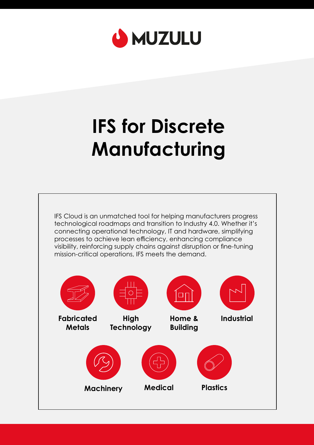

# **IFS for Discrete Manufacturing**

IFS Cloud is an unmatched tool for helping manufacturers progress technological roadmaps and transition to Industry 4.0. Whether it's connecting operational technology, IT and hardware, simplifying processes to achieve lean efficiency, enhancing compliance visibility, reinforcing supply chains against disruption or fine-tuning mission-critical operations, IFS meets the demand.

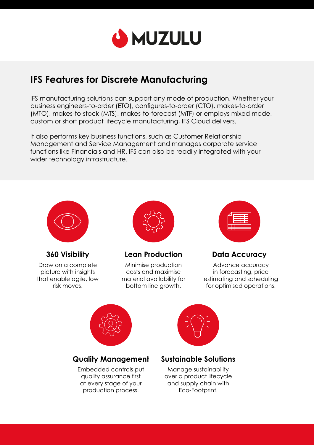

# **IFS Features for Discrete Manufacturing**

IFS manufacturing solutions can support any mode of production. Whether your business engineers-to-order (ETO), configures-to-order (CTO), makes-to-order (MTO), makes-to-stock (MTS), makes-to-forecast (MTF) or employs mixed mode, custom or short product lifecycle manufacturing, IFS Cloud delivers.

It also performs key business functions, such as Customer Relationship Management and Service Management and manages corporate service functions like Financials and HR. IFS can also be readily integrated with your wider technology infrastructure.



**360 Visibility** 

Draw on a complete picture with insights that enable agile, low risk moves.



#### **Lean Production**

Minimise production costs and maximise material availability for bottom line growth.



**Data Accuracy** 

Advance accuracy in forecasting, price estimating and scheduling for optimised operations.



#### **Quality Management**

Embedded controls put quality assurance first at every stage of your production process.



#### **Sustainable Solutions**

Manage sustainability over a product lifecycle and supply chain with Eco-Footprint.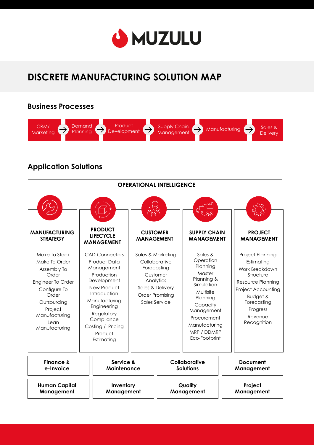

# **DISCRETE MANUFACTURING SOLUTION MAP**

#### **Business Processes**  CRM/ **Demand Product** Supply Chain  $\frac{\text{Supply Chain}}{\text{Many Indian}}$  Manufacturing  $\rightarrow$  Sales &  $\rightarrow$  $\rightarrow$ Planning **Development** Marketing **Delivery**

### **Application Solutions**